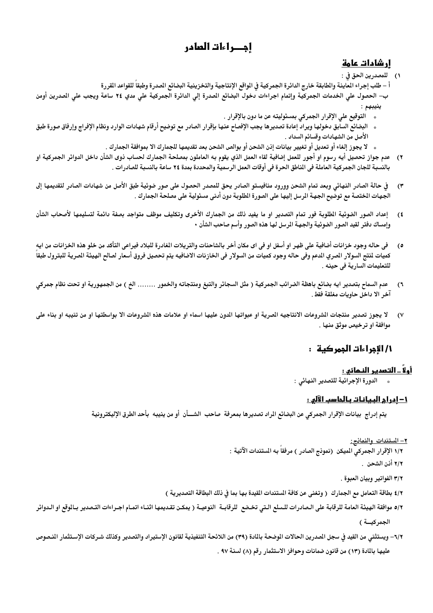# احصراءات العادر

## <u>ار شادات عامة</u>

١) للمصدرين الحق في :

أ – طلب إجراء العاينة والطابقة خارج الدائرة الجمركية فى الواقع الإنتاجية والتخزينية البضائع الصدرة وطبقاً للقواعد القررة ب– الحصول على الخدمات الجمركية وإتمام اجراءات دخول البضائع الصدرة إلى الدائرة الجمركية على مدي ٢٤ ساعة ويجب على الصدرين أومن

- \* التوقيع على الإقرار الجمركي بمسئوليته عن ما دون بالإقرار .
- ء البضائع السابق دخولها ويراد إعادة تصديرها يجب الإفصاح عنها بإقرار الصادر مع توضيح أرقام شهادات الوارد ونظام الإفراج وإرفاق صورة طبق الأصل من الشهادات وقسائم السداد .
	- » لا يجوز إلغاء أو تعديل أو تغيير بيانات إذن الشحن أو بوالص الشحن بعد تقديمها للجمارك الا بموافقة الجمارك .
- ٢) ٪ عدم جواز تحصيل أيه رسوم او أجور للعمل إضافية لقاء العمل الذي يقوم به العاملون بمصلحة الجمارك لحساب ذوى الشأن داخل الدوائر الجمركية او بالنسبة للجان الجمركية العاملة في الناطق الحرة في أوقات العمل الرسمية والمحددة بمدة ٢٤ ساعة بالنسبة للصادرات .
- ٣) ٪ في حالة الصادر النهائي وبعد تمام الشحن وورود منافيستو الصادر يحق للمصدر الحصول على صور ضوئية طبق الأصل من شهادات الصادر لتقديمها إلى الجهات الختصة مع توضيح الجهة المرسل إليها على الصورة الطلوبة دون أدنى مسئولية على مصلحة الجمارك .
- إعداد الصور الضوئية الطلوبة فور تمام التصدير او ما يفيد ذلك من الجمارك الأخرى وتكليف موظف متواجد بصفة دائمة لتسليمها لأصحاب الشأن  $(1)$ وإمساك دفتر لقيد الصور الضوئية والجهة المرسل لها هذه الصور وأسم صاحب الشأن •
- في حاله وجود خزانات أضافية على ظهر او أسفل او في اي مكان أخر بالشاحنات والتريلات المغادرة للبلاد فيراعي التأكد من خلو هذه الخزانات من ايه  $\mathfrak{o}$ كميات لنتج السولار الصري الدعم وفى حاله وجود كميات من السولار فى الخازنات الاضافيه يتم تحصيل فروق أسعار لصالح الهيئة الصرية للبترول طبقا للتعليمات السارية في حينه .
- عدم السماح بتصدير ايه بضائع باهظة الضرائب الجمركية ( مثل السجائر والتبغ ومنتجاته والخمور ........ الخ ) من الجمهورية او تحت نظام جمركي  $(1)$ آخر الا داخل حاويات مغلقة فقط .
- لا يجوز تصدير منتجات الشروعات الانتاجيه الصرية او عبواتها الدون عليها اسماء او علامات هذه الشروعات الا بواسطتها او من تنيبه او بناء على  $($ موافقة او ترخيص موثق منها .

# ١/ الإجراءات الجمر كية :

# <u>أولاً .. التصدير النـمائي :</u>

» الدورة الإجرائية للتصدير النهائي :

## <u> ١- ادراج البيانات بالحاسب الآلي :</u>

يتم إدراج بيانات الإقرار الجمركي عن البضائع المراد تصديرها بمعرفة صاحب الشـــأن أو من ينيبه بأحد الطرق الإليكترونية

### <u>٢– المستندات والنماذج:</u>

١/٢ الإقرار الجمركي الميكن (نموذج الصادر ) مرفقاً بـ4 الستندات الآتية :

٢/٢ أذن الشحن .

- ٣/٢ الفواتير وبيان العبوة .
- ٤/٢ بطاقة التعامل مع الجمارك ( وتغنى عن كافة المستندات القيدة بها بما في ذلك البطاقة التصديرية )
- ٥/٢ موافقة الهيئة العامة للرقابة على الـصادرات للـسلع الـتى تخـضع للرقابــة النوعيــة ( يمكـن تقـديمها اثنــاء اتمـام اجـراءات التـصدير بـالوقع او الـدوائر الجمركية)
- ٦/٢– ويستثني من القيد في سجل الصدرين الحالات الوضحة بالمادة (٣٩) من اللائحة التنفيذية لقانون الإستيراد والتصدير وكذلك شـركات الإستثمار المنصوص عليها بالمادة (١٣) من قانون ضمانات وحوافز الاستثمار رقم (٨) لسنة ٩٧ .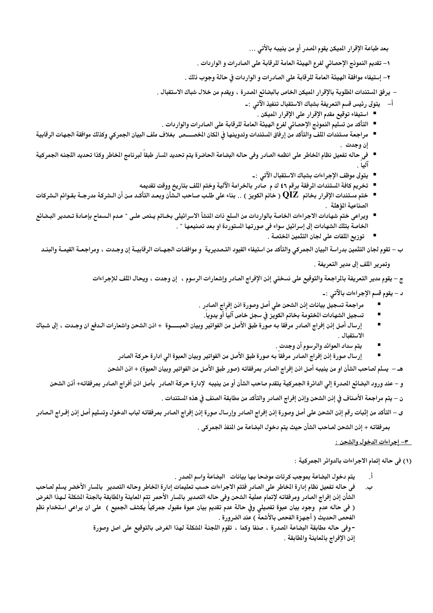بعد طباعة الإقرار الميكن يقوم المدر أو من ينيبه بالأتى …

١– تقديم النموذج الإحصائي لفرع الهيئة العامة للرقابة على الصادرات و الواردات .

٢– إستيفاء موافقة الهيئة العامة للرقابة على الصادرات و الواردات فى حالة وجوب ذلك .

– يرفق المستندات الطلوبة بالإقرار الميكن الخاص بالبضائع الصدرة ، ويقدم من خلال شباك الاستقبال .

- أ– يتولى رئيس قسم التعريفة بشباك الاستقبال تنفيذ الآتى :ــ
	- استيفاء توقيع مقدم الإقرار على الإقرار الميكن .
- التأكد من تسليم النمونج الإحصائي لفرع الهيئة العامة للرقابة على الصادرات والواردات .
- مراجعة مستندات اللف والتأكد من إرفاق الستندات وتدوينها فى الكان الخصــــص بغلاف ملف البيان الجمركي وكذلك موافقة الجهات الرقابية إن وجدت .
- في حاله تفعيل نظام الخاطر على انظمه الصادر وفي حاله البضاعة الحاضرة يتم تحديد السار طبقاً لبرنامج الخاطر وكذا تحديد اللجنه الجمركية  $1.1\tilde{1}$ 
	- يتولى موظف الإجراءات بشباك الاستقبال الآتى : ـ
	- تخريم كافة المستندات الرفقة برقم ٤٦ ك م صادر بالخرامة الآلية وختم اللف بتاريخ ووقت تقديمه
- ختم مستندات الإقرار بخاتم QIZ ( خاتم الكويز ) .. بناء على طلب صاحب الـشأن وبعـد التأكـد مـن أن الـشركة مدرجـة بقـوائم الـشركات الصناعية المؤهلة ل
- ويراعى ختم شهادات الاجراءات الخاصة بالواردات من السلع ذات المنشأ الاسرائيلى بخـاتم يـنص علـى ″ عـدم الـسماح بإعـادة تـصدير البـضائع الخاصة بتلك الشهادات إلى إسرائيل سواء في صورتها المستوردة او بعد تصنيعها " .
	- توزيع اللفات على لجان التثمين الختصة .

ب – تقوم لجان التثمين بدراسة البيان الجمركي والتأكد من استيفاء القيود التـصديرية و موافقـات الجهـات الرقابيــة إن وجـدت ، ومراجعــة القيمــة والبنــد

وتمرير اللف إلى مدير التعريفة .

ج – يقوم مدير التعريفة بالمراجعة والتوقيع على نسختي إنن الإفراج الصادر وإشعارات الرسوم ، إن وجدت ، ويحال اللف للإجراءات

د – يقوم قسم الإجراءات بالآتي :-

- مراجعة تسجيل بيانات إذن الشحن على أصل وصورة اذن إفراج الصادر .
	- تسجيل الشهادات الختومة بخاتم الكويز فى سجل خاص آليا أو يدويا.
- $\blacksquare$ إرسال أصل إذن إفراج الصادر مرفقا به صورة طبق الأصل من الفواتير وبيان العبــــوة + اذن الشحن واشعارات الـدفع ان وجـدت ، إلى شـباك الاستقبال .
	- يتم سداد العوائد والرسوم أن وجدت .
	- إرسال صورة إنن إفراج الصادر مرفقا به صورة طبق الأصل من الفواتير وبيان العبوة الى ادارة حركة الصادر

هـ – يسلم لصاحب الشأن او من ينيبه أصل اذن إفراج الصادر بمرفقاته (صور طبق الأصل من الفواتير وبيان العبوة) + اذن الشحن

و – عند ورود البضائع الصدرة إلى الدائرة الجمركية يتقدم صاحب الشأن أو من ينيبه لإدارة حركة الصادر بأصل اذن أفراج الصادر بمرفقاته+ أنن الشحن

ن – يتم مراجعة الأصناف في إنن الشحن وإذن إفراج الصادر والتأكد من مطابقة الصنف فى هذه المستندات .

ى – التأكد من إثبات رقم إذن الشحن على أصل وصورة إذن إفراج الصادر وإرسال صورة إذن إفراج الصادر بمرفقاته لباب الدخول وتسليم أصل إذن إفـراج الـصادر بمر فقاته + إذن الشحن لصاحب الشأن حيث يتم دخول البضاعة من المنفذ الجمر كي .

### - 1- إجراءات الدخول والشحن :

(١) في حاله إتمام الاجراءات بالدوائر الجمركية :

- يتم دخول البضاعة بموجب كرتات موضحا بها بيانات البضاعة واسم الصدر .
- في حاله تفعيل نظام إدارة الخاطر على الصادر فتتم الاجراءات حسب تعليمات إدارة الخاطر وحاله التصدير بالسار الأخضر يسلم لصاحب ب. الشأن إذن إفراج الصادر ومرفقاته لإتمام عملية الشحن وفي حاله التصدير بالسار الأحمر تتم المعاينة والطابقة بالجنة الشكلة لـهذا الغرض ( في حاله عدم ۖ وجود بيان عبوة تفصيلي وفي حالة عدم تقديم بيان عبوة مقبول جمركياً يكشف الجميع ) ۖ على ان يراعى استخدام نظم الفحص الحديث ( أجهزة الفحص بالأشعة ) عند الضرورة .

- وفي حاله مطابقة البضاعة المدرة ، صنفا وكما ، تقوم اللجنة الشكلة لهذا الغرض بالتوقيع على اصل وصورة إذن الإفراج بالمعاينة والمطابقة .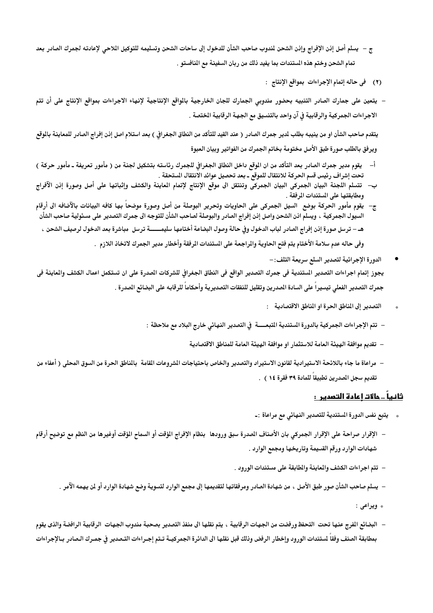- ج يسلم أصل إذن الإفراج وإذن الشحن لمذوب صاحب الشأن للدخول إلى ساحات الشحن وتسليمه للتوكيل الملاحى لإعادته لجمرك الصادر بعد تمام الشحن وختم هذه المستندات بما يفيد ذلك من ربان السفينة مع النافستو .
	- (٢) في حاله إتمام الإجراءات بمواقع الإنتاج :
- يتعين على جمارك الصادر التنبيه بحضور مندوبي الجمارك للجان الخارجية بالواقع الإنتاجية لإنهاء الاجراءات بمواقع الإنتاج على أن تتم الاجراءات الجمركية والرقابية في آن واحد بالتنسيق مع الجهة الرقابية الختصة .

يتقدم صاحب الشأن او من ينيبه بطلب لدير جمرك الصادر ( عند القيد للتأكد من النطاق الجغرافي ) بعد استلام اصل إذن إفراج الصادر للمعاينة بالوقع ويرفق بالطلب صورة طبق الأصل مختومة بخاتم الجمرك من الفواتير وبيان العبوة

- أ– يقوم مدير جمرك الصادر بعد التأكد من ان الموقع داخل النطاق الجغرافي للجمرك رئاسته بتشكيل لجنة من ( مأمور تعريفة ـ مأمور حركة ) تحت إشراف رئيس قسم الحركة للانتقال للموقع ـ بعد تحصيل عوائد الانتقال المستحقة .
- ب–۔تتسلم اللجنة البيان الجمركى البيان الجمركى وتنتقل الى موقع الإنتاج لإتمام العاينة والكشف وإثباتها على أصل وصورة إذن الآفراج ومطابقتها على المستندات المرفقة .
- ج–۔ يقوم مأمور الحركة بوضع۔السيل الجمركى على الحاويات وتحرير البوصلة من أصل وصورة موضحاً بها كافه البيانات بالآضافه الى أرقام السيول الجمركية ، ويسلم اذن الشحن واصل إذن إفراج الصادر والبوصلة لصاحب الشأن للتوجه الى جمرك التصدير على مسئولية صاحب الشأن هـ – ترسل صورة إذن إفراج الصادر لباب الدخول وفي حالة وصول البضاعة أختامها سليمــــــة ترسل مباشرة بعد الدخول لرصيف الشحن ،

وفي حاله عدم سلامة الأختام يتم فتح الحاوية والراجعة على المستندات المرفقة وأخطار مدير الجمرك لاتخاذ اللازم .

- الدورة الإجرائية لتصدير السلع سريعة التلف: يجوز إتمام اجراءات التصدير الستندية في جمرك التصدير الواقع في النطاق الجغرافي للشركات الصدرة على ان تستكمل اعمال الكشف والعاينة في جمرك التصدير الفعلي تيسيراً على السادة الصدرين وتقليل للنفقات التصديرية وأحكاماً للرقابه على البضائع الصدرة .
	- التصدير إلى المناطق الحرة او المناطق الاقتصادية :
	- تتم الإجراءات الجمركية بالدورة الستندية التبعـــــة في التصدير النهائي خارج البلاد مع ملاحظة :
		- تقديم موافقة الهيئة العامة للاستثمار او موافقة الهيئة العامة للمناطق الاقتصادية
- مراعاة ما جاء باللائحة الاستيرادية لقانون الاستيراد والتصدير والخاص باحتياجات الشروعات القامة بالناطق الحرة من السوق المحلي ( أعفاء من تقديم سجل المدرين تطبيقا للمادة ٣٩ فقرة ١٤ ) .

## <u>ثانياً .. حالات إعادة التصدير :</u>

- يتبع نفس الدورة المستندية للتصدير النهائي مع مراعاة :-
- الإقرار صراحة على الإقرار الجمركي بان الأصناف الصدرة سبق ورودها بنظام الإفراج المؤقت أو السماح المؤقت أوغيرها من النظم مع توضيح أرقام شهادات الوارد ورقم القسيمة وتاريخها ومجمع الوارد .
	- تتم اجراءات الكشف والمعاينة والمطابقة على مستندات الورود .
	- يسلم صاحب الشأن صور طبق الأصل ، من شهادة الصادر ومرفقاتها لتقديمها إلى مجمع الوارد لتسوية وضع شهادة الوارد أو لن يهمه الآمر .
		- \* ويراعى :
- البضائع الفرج عنها تحت التحفظ ورفضت من الجهات الرقابية ، يتم نقلها الى منفذ التصدير بصحبة مندوب الجهات الرقابية الرافضة والذى يقوم بمطابقة الصنف وفقاً لمستندات الورود وإخطار الرفض وذلك قبل نقلها الى الدائرة الجمركيــة تـتم إجـراءات التـصدير في جمـرك الـصادر بـالإجراءات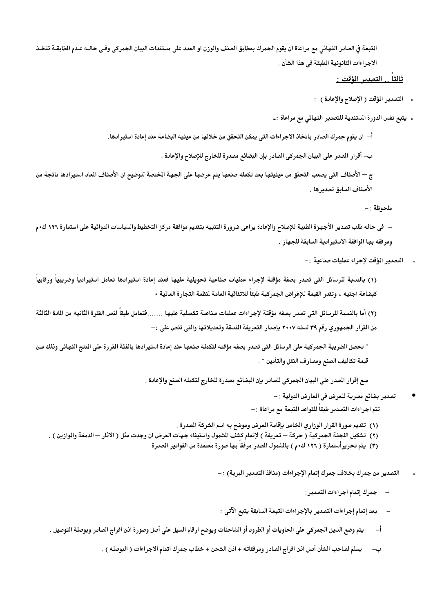التبعة في الصادر النهائي مع مراعاة ان يقوم الجمرك بمطابق الصنف والوزن او العدد على مستندات البيان الجمركي وفـي حالـه عـدم الطابقــة تتخـذ الاجر اءات القانونية المطبقة في هذا الشأن .

## ثالثاً .. التصدير <u>المؤقت :</u>

- \* التصدير المؤقت ( الإصلاح والإعادة ) :
- \* يتبع نفس الدورة المستندية للتصدير النهائي مع مراعاة :-

أ– ان يقوم جمر ك الصادر باتخاذ الاجر اءات التي يمكن التحقق من خلالها من عينيه البضاعة عند إعادة استير ادها.

ب– أقرار الصدر على البيان الجمركي الصادر بإن البضائع مصدرة للخارج للإصلاح والإعادة .

ج — الأصناف التي يصعب التحقق من عينيتها بعد تكمله صنعها يتم عرضها على الجهة الختصة لتوضيح ان الأصناف الماد استيرادها ناتجة من الأصناف السابق تصدير ها .

ملحوظة :-

– في حاله طلب تصدير الأجهزة الطبية للإصلاح والإعادة يراعي ضرورة التنبيه بتقديم موافقة مركز التخطيط والسياسات الدوائية على استمارة ١٢٦ ك٠م ومرفقه بها الموافقة الاستيرادية السابقة للجهاز .

التصدير المؤقت لاجراء عمليات صناعية :-

(١) بالنسبة للرسائل التى تصدر بصفة مؤقتة لإجراء عمليات صناعية تحويلية عليها فعند إعادة استيرادها تعامل استيرادياً وضريبياً ورقابياً كبضاعة اجنيه ، وتقدر القيمة للإغراض الجمركية طبقاً للاتفاقية العامة لنظمة التجارة العالية •

(٢) أما بالنسبة للرسائل التي تصدر بصفه مؤقتة لإجراءات عمليات صناعية تكميلية عليها .......فتعامل طبقاً لنص الفقرة الثانيه من المادة الثالثة من القرار الجمهوري رقم ٣٩ لسنه ٢٠٠٧ بإصدار التعريفة المنسقة وتعديلاتها والتي تنص على :–

" تحصل الضريبة الجمركية على الرسائل التي تصدر بصفه مؤقته لتكملة صنعها عند إعادة استيرادها بالفئة القررة على النتج النهائي وذلك من قيمة تكاليف الصنع ومصارف النقل والتأمين ″ .

مع إقرار الصدر على البيان الجمركي للصادر بإن البضائع مصدرة للخارج لتكمله الصنع والإعادة .

- تصدير بضائع مصرية للعرض في المعارض الدولية :-
- تتم اجراءات التصدير طبقا للقواعد المتبعة مع مراعاة :–
- (١) تقديم صورة القرار الوزاري الخاص بإقامة المعرض وموضح بـه اسم الشركة المصدرة .
- (٢) تشكيل اللجنة الجمركية ( حركة تعريفة ) لإتمام كشف الشمول واستيفاء جهات العرض ان وجدت مثل ( الاثار الدمغة والوازين ) .
	- (٣) يتم تحريرأستمارة ( ١٢٦ ك٠م ) بالشمول الصدر مرفقا بها صورة معتمدة من الفواتير الصدرة

التصدير من جمرك بخلاف جمرك إتمام الإجراءات (منافذ التصدير البرية) :–

- جمرك إتمام اجراءات التصدير :
- بعد إتمام إجراءات التصدير بالإجراءات المتبعة السابقة يتبع الآتي :
- يتم وضع السيل الجمركي على الحاويات أو الطرود أو الشاحنات ويوضح ارقام السيل على أصل وصورة اذن افراج الصادر وبوصلة التوصيل .  $-1$ 
	- يسلم لصاحب الشأن أصل اذن افراج الصادر ومرفقاته + اذن الشحن + خطاب جمرك اتمام الاجراءات ( البوصله ) .